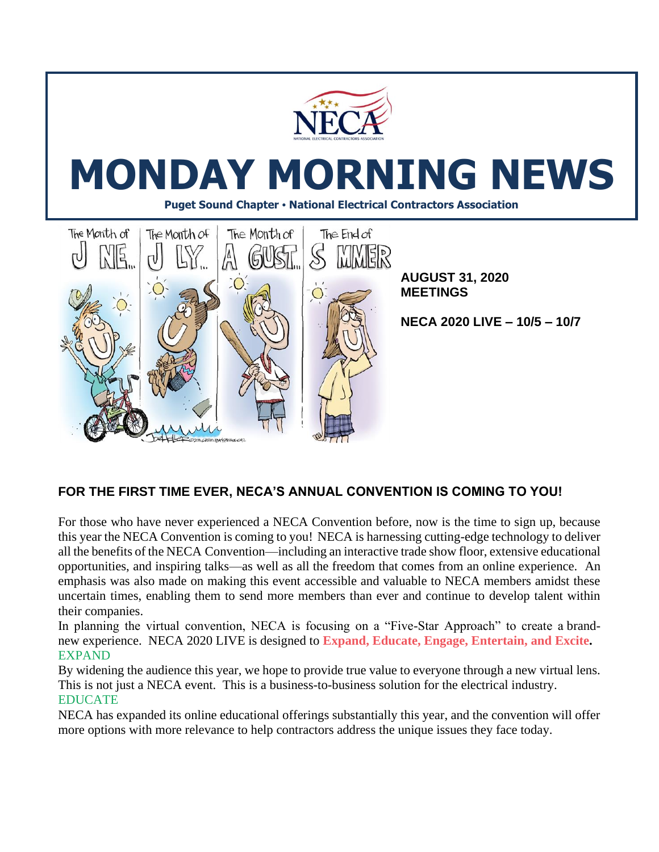

# **MONDAY MORNING NEWS**

**Puget Sound Chapter • National Electrical Contractors Association**



# **FOR THE FIRST TIME EVER, NECA'S ANNUAL CONVENTION IS COMING TO YOU!**

For those who have never experienced a NECA Convention before, now is the time to sign up, because this year the NECA Convention is coming to you!NECA is harnessing cutting-edge technology to deliver all the benefits of the NECA Convention—including an interactive trade show floor, extensive educational opportunities, and inspiring talks—as well as all the freedom that comes from an online experience. An emphasis was also made on making this event accessible and valuable to NECA members amidst these uncertain times, enabling them to send more members than ever and continue to develop talent within their companies.

In planning the virtual convention, NECA is focusing on a "Five-Star Approach" to create a brandnew experience. NECA 2020 LIVE is designed to **[Expand,](https://vimeo.com/436894528) Educate, Engage, [Entertain,](https://vimeo.com/436894528) and Excite.** EXPAND

By widening the audience this year, we hope to provide true value to everyone through a new virtual lens. This is not just a NECA event. This is a business-to-business solution for the electrical industry. EDUCATE

NECA has expanded its online educational offerings substantially this year, and the convention will offer more options with more relevance to help contractors address the unique issues they face today.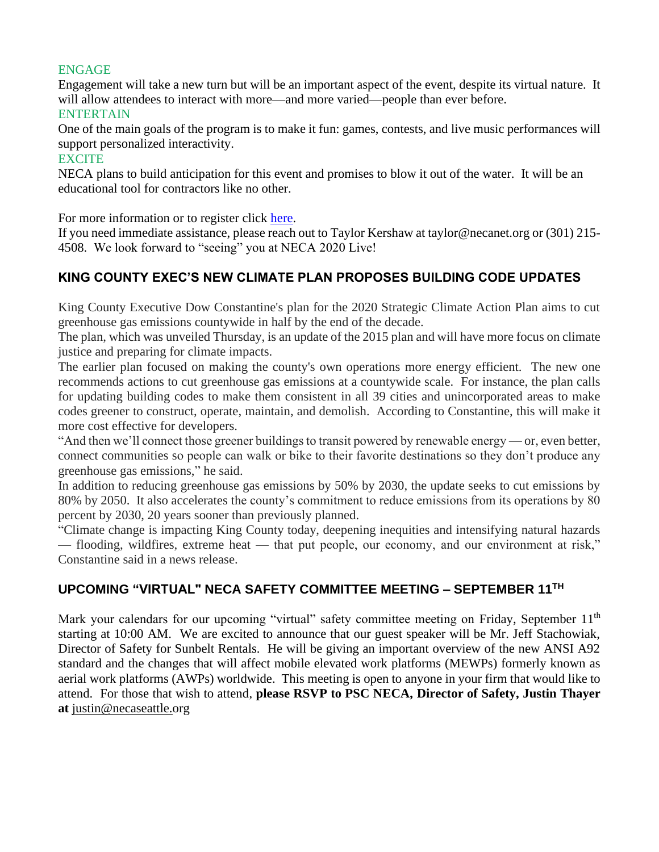## ENGAGE

Engagement will take a new turn but will be an important aspect of the event, despite its virtual nature. It will allow attendees to interact with more—and more varied—people than ever before.

#### ENTERTAIN

One of the main goals of the program is to make it fun: games, contests, and live music performances will support personalized interactivity.

#### **EXCITE**

NECA plans to build anticipation for this event and promises to blow it out of the water. It will be an educational tool for contractors like no other.

For more information or to register click [here.](https://reg.cmrus.com/neca2020/)

If you need immediate assistance, please reach out to Taylor Kershaw at taylor@necanet.org or (301) 215- 4508. We look forward to "seeing" you at NECA 2020 Live!

## **KING COUNTY EXEC'S NEW CLIMATE PLAN PROPOSES BUILDING CODE UPDATES**

King County Executive Dow Constantine's plan for the 2020 Strategic Climate Action Plan aims to cut greenhouse gas emissions countywide in half by the end of the decade.

The plan, which was unveiled Thursday, is an update of the 2015 plan and will have more focus on climate justice and preparing for climate impacts.

The earlier plan focused on making the county's own operations more energy efficient. The new one recommends actions to cut greenhouse gas emissions at a countywide scale. For instance, the plan calls for updating building codes to make them consistent in all 39 cities and unincorporated areas to make codes greener to construct, operate, maintain, and demolish. According to Constantine, this will make it more cost effective for developers.

"And then we'll connect those greener buildings to transit powered by renewable energy — or, even better, connect communities so people can walk or bike to their favorite destinations so they don't produce any greenhouse gas emissions," he said.

In addition to reducing greenhouse gas emissions by 50% by 2030, the update seeks to cut emissions by 80% by 2050. It also accelerates the county's commitment to reduce emissions from its operations by 80 percent by 2030, 20 years sooner than previously planned.

"Climate change is impacting King County today, deepening inequities and intensifying natural hazards — flooding, wildfires, extreme heat — that put people, our economy, and our environment at risk," Constantine said in a news release.

### **UPCOMING "VIRTUAL" NECA SAFETY COMMITTEE MEETING – SEPTEMBER 11TH**

Mark your calendars for our upcoming "virtual" safety committee meeting on Friday, September 11<sup>th</sup> starting at 10:00 AM. We are excited to announce that our guest speaker will be Mr. Jeff Stachowiak, Director of Safety for Sunbelt Rentals. He will be giving an important overview of the new ANSI A92 standard and the changes that will affect mobile elevated work platforms (MEWPs) formerly known as aerial work platforms (AWPs) worldwide. This meeting is open to anyone in your firm that would like to attend. For those that wish to attend, **please RSVP to PSC NECA, Director of Safety, Justin Thayer at** [justin@necaseattle.org](mailto:justin@necaseattle.org)